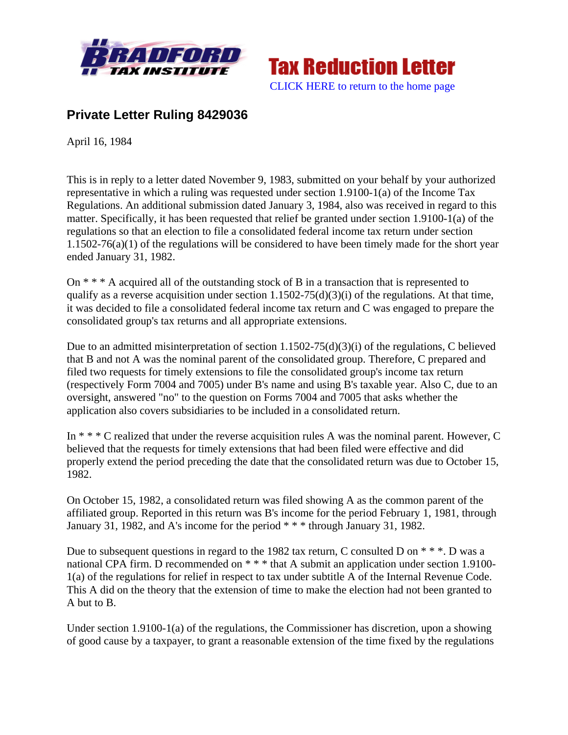



## **Private Letter Ruling 8429036**

April 16, 1984

This is in reply to a letter dated November 9, 1983, submitted on your behalf by your authorized representative in which a ruling was requested under section 1.9100-1(a) of the Income Tax Regulations. An additional submission dated January 3, 1984, also was received in regard to this matter. Specifically, it has been requested that relief be granted under section 1.9100-1(a) of the regulations so that an election to file a consolidated federal income tax return under section 1.1502-76(a)(1) of the regulations will be considered to have been timely made for the short year ended January 31, 1982.

On \* \* \* A acquired all of the outstanding stock of B in a transaction that is represented to qualify as a reverse acquisition under section  $1.1502-75(d)(3)(i)$  of the regulations. At that time, it was decided to file a consolidated federal income tax return and C was engaged to prepare the consolidated group's tax returns and all appropriate extensions.

Due to an admitted misinterpretation of section 1.1502-75(d)(3)(i) of the regulations, C believed that B and not A was the nominal parent of the consolidated group. Therefore, C prepared and filed two requests for timely extensions to file the consolidated group's income tax return (respectively Form 7004 and 7005) under B's name and using B's taxable year. Also C, due to an oversight, answered "no" to the question on Forms 7004 and 7005 that asks whether the application also covers subsidiaries to be included in a consolidated return.

In \* \* \* C realized that under the reverse acquisition rules A was the nominal parent. However, C believed that the requests for timely extensions that had been filed were effective and did properly extend the period preceding the date that the consolidated return was due to October 15, 1982.

On October 15, 1982, a consolidated return was filed showing A as the common parent of the affiliated group. Reported in this return was B's income for the period February 1, 1981, through January 31, 1982, and A's income for the period \* \* \* through January 31, 1982.

Due to subsequent questions in regard to the 1982 tax return, C consulted D on  $**$ . D was a national CPA firm. D recommended on  $***$  that A submit an application under section 1.9100-1(a) of the regulations for relief in respect to tax under subtitle A of the Internal Revenue Code. This A did on the theory that the extension of time to make the election had not been granted to A but to B.

Under section 1.9100-1(a) of the regulations, the Commissioner has discretion, upon a showing of good cause by a taxpayer, to grant a reasonable extension of the time fixed by the regulations